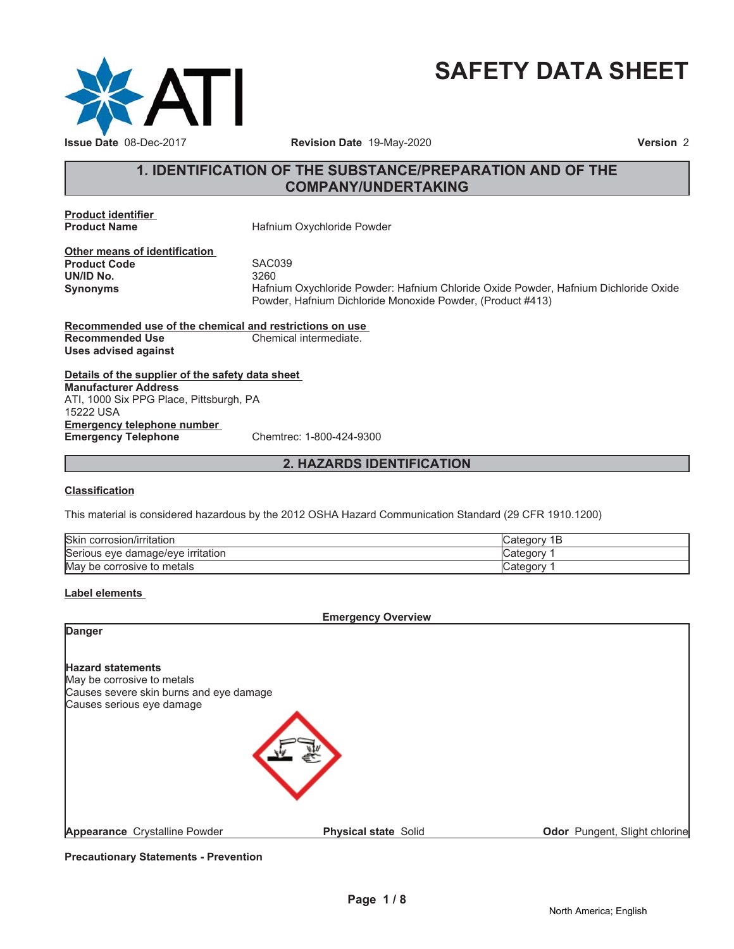

# **SAFETY DATA SHEET**

# **1. IDENTIFICATION OF THE SUBSTANCE/PREPARATION AND OF THE COMPANY/UNDERTAKING**

**Product identifier**

**Hafnium Oxychloride Powder** 

**Other means of identification Product Code** SAC039<br> **UN/ID No.** 3260 **UN/ID No.** 

**Synonyms** Hafnium Oxychloride Powder: Hafnium Chloride Oxide Powder, Hafnium Dichloride Oxide Powder, Hafnium Dichloride Monoxide Powder, (Product #413)

**Recommended use of the chemical and restrictions on use Recommended Use Chemical intermediate. Uses advised against**

**Details of the supplier of the safety data sheet Emergency telephone number Emergency Telephone** Chemtrec: 1-800-424-9300 **Manufacturer Address** ATI, 1000 Six PPG Place, Pittsburgh, PA 15222 USA

# **2. HAZARDS IDENTIFICATION**

#### **Classification**

This material is considered hazardous by the 2012 OSHA Hazard Communication Standard (29 CFR 1910.1200)

| <b>Skin</b><br>. .<br>∟corrosıon/ırrıtatıon | Cate<br>D |
|---------------------------------------------|-----------|
| Serious eve<br>irritation<br>e damage/eve e | ategor: ت |
| May<br>metals<br>' be corrosive to          | ∴categor  |

### **Label elements**

**Emergency Overview**

| Danger                                                                                                                         |                             |                               |
|--------------------------------------------------------------------------------------------------------------------------------|-----------------------------|-------------------------------|
| <b>Hazard statements</b><br>May be corrosive to metals<br>Causes severe skin burns and eye damage<br>Causes serious eye damage |                             |                               |
| Appearance Crystalline Powder                                                                                                  | <b>Physical state Solid</b> | Odor Pungent, Slight chlorine |

**Precautionary Statements - Prevention**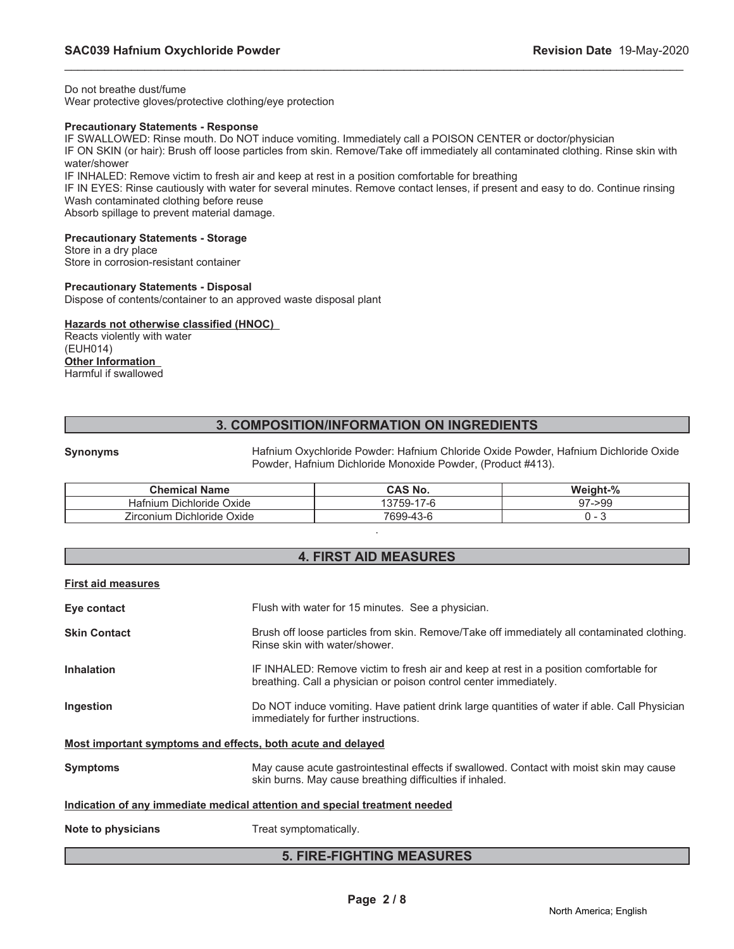Do not breathe dust/fume Wear protective gloves/protective clothing/eye protection

# **Precautionary Statements - Response**

IF SWALLOWED: Rinse mouth. Do NOT induce vomiting. Immediately call a POISON CENTER or doctor/physician

IF ON SKIN (or hair): Brush off loose particles from skin. Remove/Take off immediately all contaminated clothing. Rinse skin with water/shower

\_\_\_\_\_\_\_\_\_\_\_\_\_\_\_\_\_\_\_\_\_\_\_\_\_\_\_\_\_\_\_\_\_\_\_\_\_\_\_\_\_\_\_\_\_\_\_\_\_\_\_\_\_\_\_\_\_\_\_\_\_\_\_\_\_\_\_\_\_\_\_\_\_\_\_\_\_\_\_\_\_\_\_\_\_\_\_\_\_\_\_\_\_

IF INHALED: Remove victim to fresh air and keep at rest in a position comfortable for breathing

IF IN EYES: Rinse cautiously with water for several minutes. Remove contact lenses, if present and easy to do. Continue rinsing Wash contaminated clothing before reuse

Absorb spillage to prevent material damage.

### **Precautionary Statements - Storage**

Store in a dry place Store in corrosion-resistant container

#### **Precautionary Statements - Disposal**

Dispose of contents/container to an approved waste disposal plant

#### **Hazards not otherwise classified (HNOC)**

Reacts violently with water (EUH014) **Other Information** Harmful if swallowed

# **3. COMPOSITION/INFORMATION ON INGREDIENTS**

**Synonyms** Hafnium Oxychloride Powder: Hafnium Chloride Oxide Powder, Hafnium Dichloride Oxide Powder, Hafnium Dichloride Monoxide Powder, (Product #413).

| <b>Chemical Name</b>        | CAS No.                                          | Weight-%     |
|-----------------------------|--------------------------------------------------|--------------|
| Dichloride Oxide<br>Hatnium | $\overline{\phantom{a}}$<br>3759-<br>$\sqrt{-1}$ | /->99<br>Q7. |
| Zirconium Dichloride Oxide  | 7699-43-6                                        |              |

.

# **4. FIRST AID MEASURES**

#### **First aid measures**

| Eye contact                                                                | Flush with water for 15 minutes. See a physician.                                                                                                          |  |
|----------------------------------------------------------------------------|------------------------------------------------------------------------------------------------------------------------------------------------------------|--|
| <b>Skin Contact</b>                                                        | Brush off loose particles from skin. Remove/Take off immediately all contaminated clothing.<br>Rinse skin with water/shower.                               |  |
| <b>Inhalation</b>                                                          | IF INHALED: Remove victim to fresh air and keep at rest in a position comfortable for<br>breathing. Call a physician or poison control center immediately. |  |
| Ingestion                                                                  | Do NOT induce vomiting. Have patient drink large quantities of water if able. Call Physician<br>immediately for further instructions.                      |  |
| Most important symptoms and effects, both acute and delayed                |                                                                                                                                                            |  |
| <b>Symptoms</b>                                                            | May cause acute gastrointestinal effects if swallowed. Contact with moist skin may cause<br>skin burns. May cause breathing difficulties if inhaled.       |  |
| Indication of any immediate medical attention and special treatment needed |                                                                                                                                                            |  |
| Note to physicians                                                         | Treat symptomatically.                                                                                                                                     |  |

# **5. FIRE-FIGHTING MEASURES**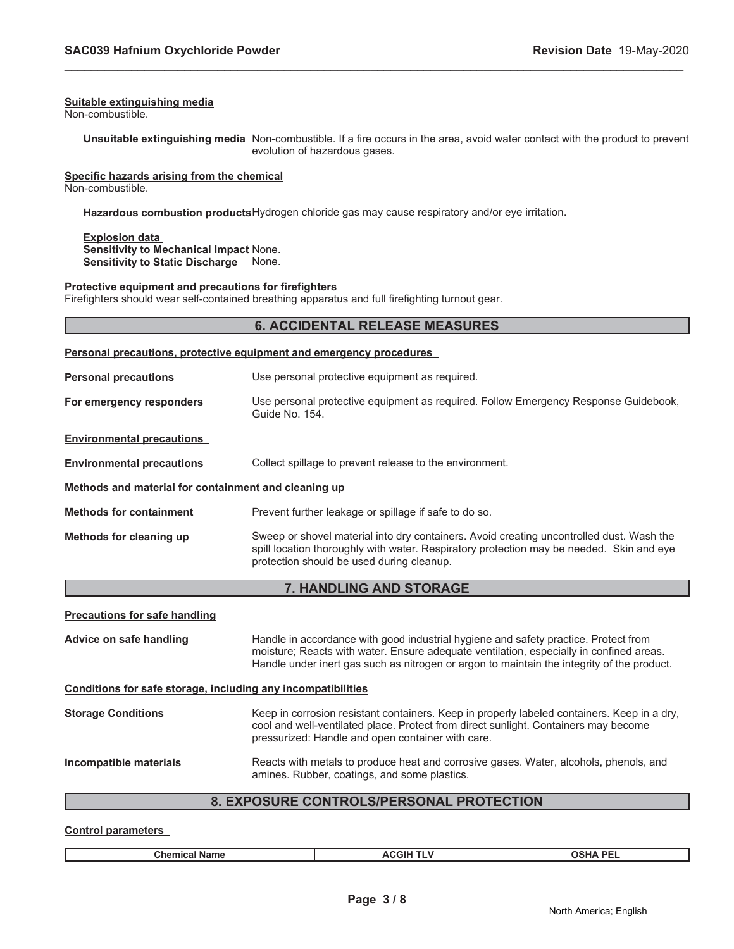#### **Suitable extinguishing media**

Non-combustible.

**Unsuitable extinguishing media** Non-combustible. If a fire occurs in the area, avoid water contact with the product to prevent evolution of hazardous gases.

\_\_\_\_\_\_\_\_\_\_\_\_\_\_\_\_\_\_\_\_\_\_\_\_\_\_\_\_\_\_\_\_\_\_\_\_\_\_\_\_\_\_\_\_\_\_\_\_\_\_\_\_\_\_\_\_\_\_\_\_\_\_\_\_\_\_\_\_\_\_\_\_\_\_\_\_\_\_\_\_\_\_\_\_\_\_\_\_\_\_\_\_\_

**Specific hazards arising from the chemical**

Non-combustible.

**Hazardous combustion products**Hydrogen chloride gas may cause respiratory and/or eye irritation.

**Explosion data Sensitivity to Mechanical Impact** None. **Sensitivity to Static Discharge** None.

#### **Protective equipment and precautions for firefighters**

Firefighters should wear self-contained breathing apparatus and full firefighting turnout gear.

# **6. ACCIDENTAL RELEASE MEASURES**

#### **Personal precautions, protective equipment and emergency procedures**

| <b>Personal precautions</b>                          | Use personal protective equipment as required.                                                                                                                                                                                    |  |
|------------------------------------------------------|-----------------------------------------------------------------------------------------------------------------------------------------------------------------------------------------------------------------------------------|--|
| For emergency responders                             | Use personal protective equipment as required. Follow Emergency Response Guidebook,<br>Guide No. 154.                                                                                                                             |  |
| <b>Environmental precautions</b>                     |                                                                                                                                                                                                                                   |  |
| <b>Environmental precautions</b>                     | Collect spillage to prevent release to the environment.                                                                                                                                                                           |  |
| Methods and material for containment and cleaning up |                                                                                                                                                                                                                                   |  |
| <b>Methods for containment</b>                       | Prevent further leakage or spillage if safe to do so.                                                                                                                                                                             |  |
| Methods for cleaning up                              | Sweep or shovel material into dry containers. Avoid creating uncontrolled dust. Wash the<br>spill location thoroughly with water. Respiratory protection may be needed. Skin and eye<br>protection should be used during cleanup. |  |

# **7. HANDLING AND STORAGE**

| <b>Precautions for safe handling</b>                         |                                                                                                                                                                                                                                                                              |  |
|--------------------------------------------------------------|------------------------------------------------------------------------------------------------------------------------------------------------------------------------------------------------------------------------------------------------------------------------------|--|
| Advice on safe handling                                      | Handle in accordance with good industrial hygiene and safety practice. Protect from<br>moisture; Reacts with water. Ensure adequate ventilation, especially in confined areas.<br>Handle under inert gas such as nitrogen or argon to maintain the integrity of the product. |  |
| Conditions for safe storage, including any incompatibilities |                                                                                                                                                                                                                                                                              |  |
| <b>Storage Conditions</b>                                    | Keep in corrosion resistant containers. Keep in properly labeled containers. Keep in a dry,<br>cool and well-ventilated place. Protect from direct sunlight. Containers may become<br>pressurized: Handle and open container with care.                                      |  |
| Incompatible materials                                       | Reacts with metals to produce heat and corrosive gases. Water, alcohols, phenols, and<br>amines. Rubber, coatings, and some plastics.                                                                                                                                        |  |
| Ω                                                            | EVBOSHEE CONTROL SIDERSONAL<br><b>DDATECTION</b>                                                                                                                                                                                                                             |  |

# **8. EXPOSURE CONTROLS/PERSONAL PROTECTION**

#### **Control parameters**

| <b>ACGIH</b><br><b>Chemical Name</b> | <b>OSHA PF</b><br><b>The Second Second</b><br>.<br>--- |
|--------------------------------------|--------------------------------------------------------|
|--------------------------------------|--------------------------------------------------------|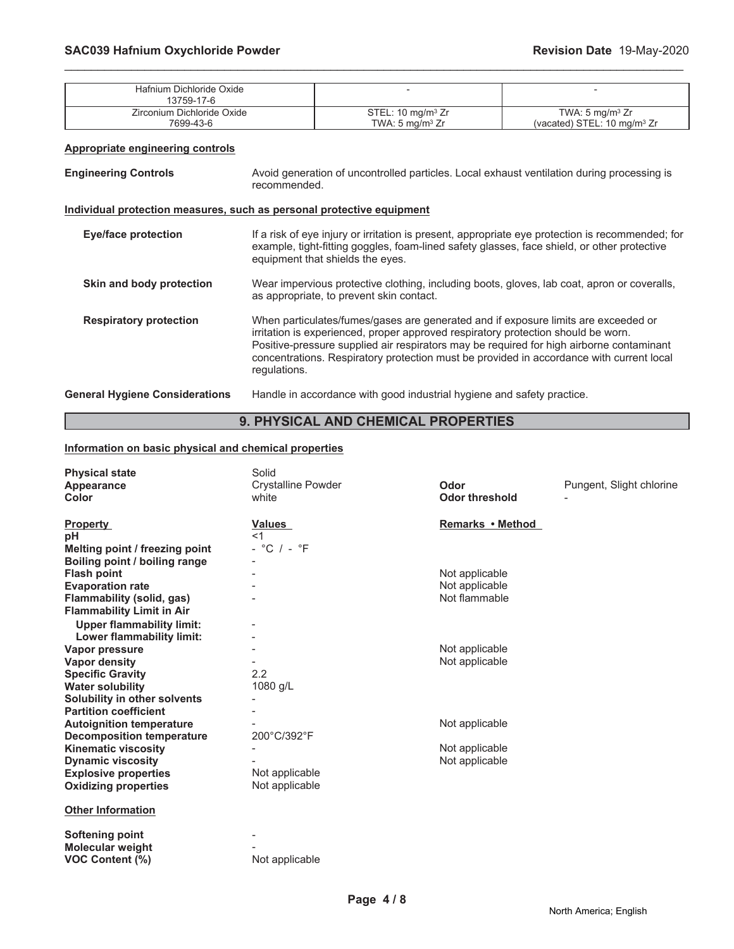| Hafnium Dichloride Oxide<br>13759-17-6 |                              |                                        |
|----------------------------------------|------------------------------|----------------------------------------|
| Zirconium Dichloride Oxide             | STEL: $10 \text{ mg/m}^3$ Zr | TWA: 5 mg/m <sup>3</sup> $Zr$          |
| 7699-43-6                              | TWA: $5 \text{ ma/m}^3$ Zr   | (vacated) STEL: $10 \text{ ma/m}^3$ Zr |

\_\_\_\_\_\_\_\_\_\_\_\_\_\_\_\_\_\_\_\_\_\_\_\_\_\_\_\_\_\_\_\_\_\_\_\_\_\_\_\_\_\_\_\_\_\_\_\_\_\_\_\_\_\_\_\_\_\_\_\_\_\_\_\_\_\_\_\_\_\_\_\_\_\_\_\_\_\_\_\_\_\_\_\_\_\_\_\_\_\_\_\_\_

#### **Appropriate engineering controls**

| <b>Engineering Controls</b> | Avoid generation of uncontrolled particles. Local exhaust ventilation during processing is<br>recommended. |
|-----------------------------|------------------------------------------------------------------------------------------------------------|
|-----------------------------|------------------------------------------------------------------------------------------------------------|

#### **Individual protection measures, such as personal protective equipment**

| <b>Eye/face protection</b>            | If a risk of eye injury or irritation is present, appropriate eye protection is recommended; for<br>example, tight-fitting goggles, foam-lined safety glasses, face shield, or other protective<br>equipment that shields the eyes.                                                                                                                                             |
|---------------------------------------|---------------------------------------------------------------------------------------------------------------------------------------------------------------------------------------------------------------------------------------------------------------------------------------------------------------------------------------------------------------------------------|
| Skin and body protection              | Wear impervious protective clothing, including boots, gloves, lab coat, apron or coveralls,<br>as appropriate, to prevent skin contact.                                                                                                                                                                                                                                         |
| <b>Respiratory protection</b>         | When particulates/fumes/gases are generated and if exposure limits are exceeded or<br>irritation is experienced, proper approved respiratory protection should be worn.<br>Positive-pressure supplied air respirators may be required for high airborne contaminant<br>concentrations. Respiratory protection must be provided in accordance with current local<br>regulations. |
| <b>General Hygiene Considerations</b> | Handle in accordance with good industrial hygiene and safety practice.                                                                                                                                                                                                                                                                                                          |

# **9. PHYSICAL AND CHEMICAL PROPERTIES**

# **Information on basic physical and chemical properties**

| <b>Physical state</b><br>Appearance<br>Color | Solid<br><b>Crystalline Powder</b><br>white | Odor<br><b>Odor threshold</b> | Pungent, Slight chlorine |
|----------------------------------------------|---------------------------------------------|-------------------------------|--------------------------|
| <b>Property</b>                              | Values                                      | Remarks • Method              |                          |
| pH                                           | $<$ 1                                       |                               |                          |
| Melting point / freezing point               | $-$ °C $/ -$ °F                             |                               |                          |
| Boiling point / boiling range                |                                             |                               |                          |
| <b>Flash point</b>                           |                                             | Not applicable                |                          |
| <b>Evaporation rate</b>                      |                                             | Not applicable                |                          |
| Flammability (solid, gas)                    |                                             | Not flammable                 |                          |
| <b>Flammability Limit in Air</b>             |                                             |                               |                          |
| <b>Upper flammability limit:</b>             |                                             |                               |                          |
| Lower flammability limit:                    |                                             |                               |                          |
| Vapor pressure                               |                                             | Not applicable                |                          |
| <b>Vapor density</b>                         |                                             | Not applicable                |                          |
| <b>Specific Gravity</b>                      | 2.2                                         |                               |                          |
| <b>Water solubility</b>                      | 1080 g/L                                    |                               |                          |
| Solubility in other solvents                 |                                             |                               |                          |
| <b>Partition coefficient</b>                 |                                             |                               |                          |
| <b>Autoignition temperature</b>              |                                             | Not applicable                |                          |
| <b>Decomposition temperature</b>             | 200°C/392°F                                 |                               |                          |
| <b>Kinematic viscosity</b>                   |                                             | Not applicable                |                          |
| <b>Dynamic viscosity</b>                     |                                             | Not applicable                |                          |
| <b>Explosive properties</b>                  | Not applicable                              |                               |                          |
| <b>Oxidizing properties</b>                  | Not applicable                              |                               |                          |
| <b>Other Information</b>                     |                                             |                               |                          |
| Softening point                              |                                             |                               |                          |
| <b>Molecular weight</b>                      |                                             |                               |                          |
| VOC Content (%)                              | Not applicable                              |                               |                          |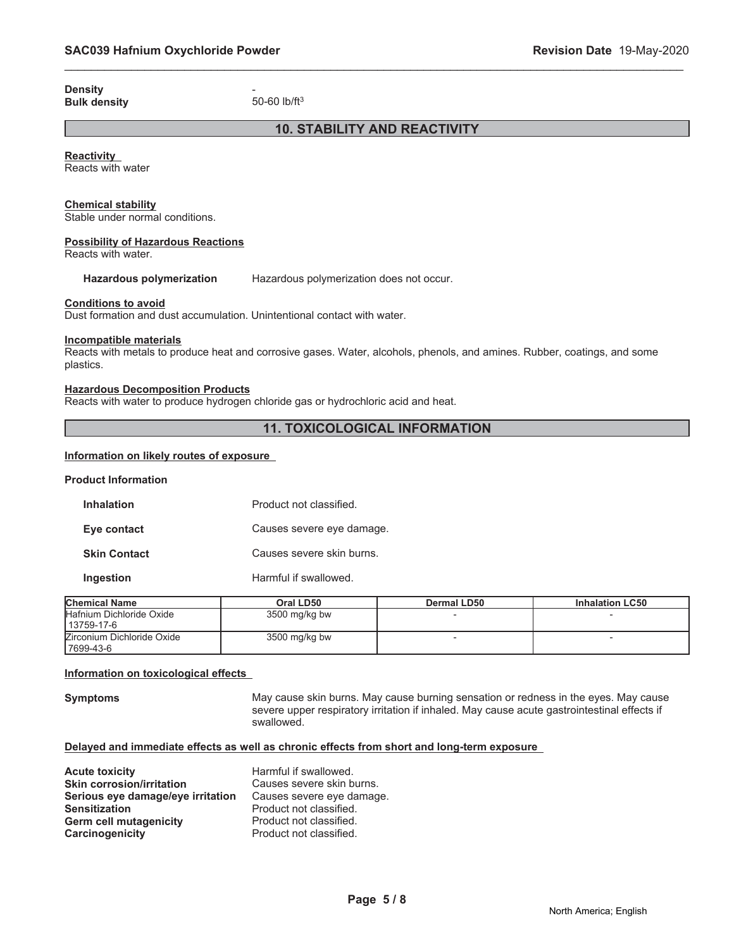**Density** - **Bulk density** 

# **10. STABILITY AND REACTIVITY**

\_\_\_\_\_\_\_\_\_\_\_\_\_\_\_\_\_\_\_\_\_\_\_\_\_\_\_\_\_\_\_\_\_\_\_\_\_\_\_\_\_\_\_\_\_\_\_\_\_\_\_\_\_\_\_\_\_\_\_\_\_\_\_\_\_\_\_\_\_\_\_\_\_\_\_\_\_\_\_\_\_\_\_\_\_\_\_\_\_\_\_\_\_

**Reactivity**

Reacts with water

#### **Chemical stability**

Stable under normal conditions.

#### **Possibility of Hazardous Reactions**

Reacts with water.

**Hazardous polymerization** Hazardous polymerization does not occur.

#### **Conditions to avoid**

Dust formation and dust accumulation. Unintentional contact with water.

#### **Incompatible materials**

Reacts with metals to produce heat and corrosive gases. Water, alcohols, phenols, and amines. Rubber, coatings, and some plastics.

#### **Hazardous Decomposition Products**

Reacts with water to produce hydrogen chloride gas or hydrochloric acid and heat.

# **11. TOXICOLOGICAL INFORMATION**

#### **Information on likely routes of exposure**

#### **Product Information**

| <b>Inhalation</b>   | Product not classified.   |
|---------------------|---------------------------|
| Eye contact         | Causes severe eye damage. |
| <b>Skin Contact</b> | Causes severe skin burns. |
| Ingestion           | Harmful if swallowed.     |

| <b>Chemical Name</b>                     | Oral LD50       | Dermal LD50 | <b>Inhalation LC50</b> |
|------------------------------------------|-----------------|-------------|------------------------|
| Hafnium Dichloride Oxide<br>  13759-17-6 | $3500$ mg/kg bw |             |                        |
| Zirconium Dichloride Oxide<br>17699-43-6 | $3500$ mg/kg bw |             |                        |

#### **Information on toxicological effects**

**Symptoms** May cause skin burns. May cause burning sensation or redness in the eyes. May cause severe upper respiratory irritation if inhaled. May cause acute gastrointestinal effects if swallowed.

#### **Delayed and immediate effects as well as chronic effects from short and long-term exposure**

| <b>Acute toxicity</b>             | Harmful if swallowed.     |
|-----------------------------------|---------------------------|
| <b>Skin corrosion/irritation</b>  | Causes severe skin burns. |
| Serious eye damage/eye irritation | Causes severe eye damage. |
| <b>Sensitization</b>              | Product not classified.   |
| <b>Germ cell mutagenicity</b>     | Product not classified.   |
| Carcinogenicity                   | Product not classified.   |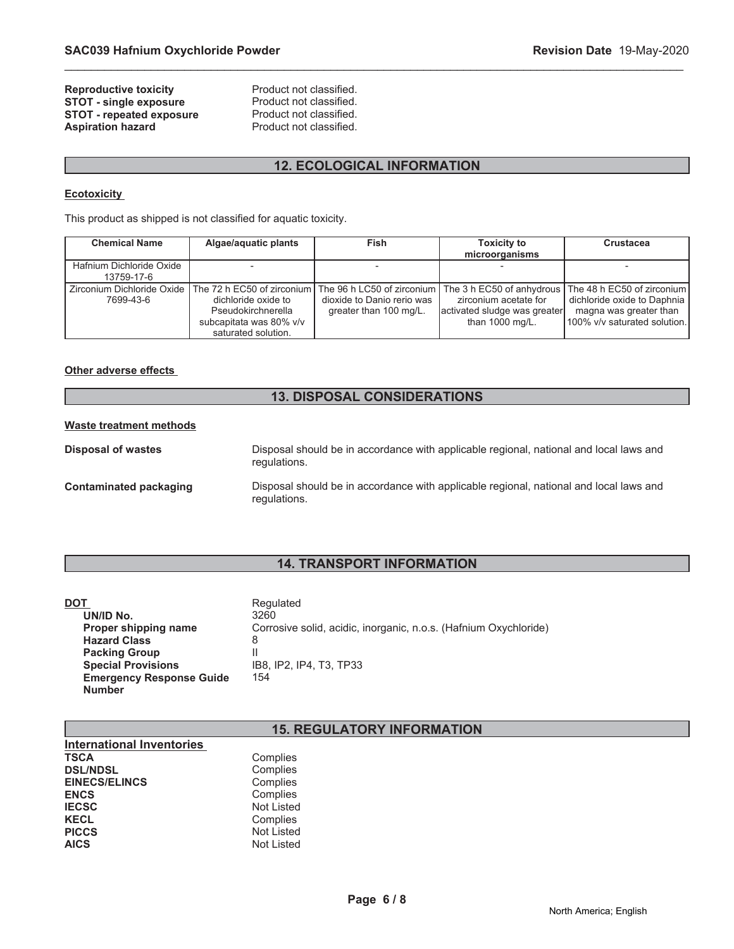# **Reproductive toxicity example 3 Reproduct Product not classified.**<br> **STOT - single exposure** Product not classified. **STOT - single exposure** Product not classified.<br> **STOT - repeated exposure** Product not classified. **STOT - repeated exposure<br>Aspiration hazard**

Product not classified.

# **12. ECOLOGICAL INFORMATION**

\_\_\_\_\_\_\_\_\_\_\_\_\_\_\_\_\_\_\_\_\_\_\_\_\_\_\_\_\_\_\_\_\_\_\_\_\_\_\_\_\_\_\_\_\_\_\_\_\_\_\_\_\_\_\_\_\_\_\_\_\_\_\_\_\_\_\_\_\_\_\_\_\_\_\_\_\_\_\_\_\_\_\_\_\_\_\_\_\_\_\_\_\_

# **Ecotoxicity**

This product as shipped is not classified for aquatic toxicity.

| <b>Chemical Name</b>                   | Algae/aquatic plants                                                                                                                                                                                                                           | <b>Fish</b>                                          | <b>Toxicity to</b>                                                                  | Crustacea                                                                             |
|----------------------------------------|------------------------------------------------------------------------------------------------------------------------------------------------------------------------------------------------------------------------------------------------|------------------------------------------------------|-------------------------------------------------------------------------------------|---------------------------------------------------------------------------------------|
|                                        |                                                                                                                                                                                                                                                |                                                      | microorganisms                                                                      |                                                                                       |
| Hafnium Dichloride Oxide<br>13759-17-6 |                                                                                                                                                                                                                                                |                                                      |                                                                                     |                                                                                       |
| 7699-43-6                              | Zirconium Dichloride Oxide   The 72 h EC50 of zirconium   The 96 h LC50 of zirconium   The 3 h EC50 of anhydrous   The 48 h EC50 of zirconium  <br>dichloride oxide to<br>Pseudokirchnerella<br>subcapitata was 80% v/v<br>saturated solution. | dioxide to Danio rerio was<br>greater than 100 mg/L. | zirconium acetate for<br>activated sludge was greater<br>than $1000 \text{ mg/L}$ . | dichloride oxide to Daphnia<br>magna was greater than<br>100% v/v saturated solution. |

#### **Other adverse effects**

# **13. DISPOSAL CONSIDERATIONS**

#### **Waste treatment methods**

| <b>Disposal of wastes</b> | Disposal should be in accordance with applicable regional, national and local laws and<br>regulations. |
|---------------------------|--------------------------------------------------------------------------------------------------------|
| Contaminated packaging    | Disposal should be in accordance with applicable regional, national and local laws and<br>regulations. |

# **14. TRANSPORT INFORMATION**

| DOT                             | Regulated                                                        |
|---------------------------------|------------------------------------------------------------------|
| UN/ID No.                       | 3260                                                             |
| Proper shipping name            | Corrosive solid, acidic, inorganic, n.o.s. (Hafnium Oxychloride) |
| <b>Hazard Class</b>             | 8                                                                |
| <b>Packing Group</b>            |                                                                  |
| <b>Special Provisions</b>       | IB8. IP2. IP4. T3. TP33                                          |
| <b>Emergency Response Guide</b> | 154                                                              |
| <b>Number</b>                   |                                                                  |

# **15. REGULATORY INFORMATION**

| <b>International Inventories</b> |                   |
|----------------------------------|-------------------|
| <b>TSCA</b>                      | Complies          |
| <b>DSL/NDSL</b>                  | Complies          |
| <b>EINECS/ELINCS</b>             | Complies          |
| <b>ENCS</b>                      | Complies          |
| <b>IECSC</b>                     | <b>Not Listed</b> |
| <b>KECL</b>                      | Complies          |
| <b>PICCS</b>                     | <b>Not Listed</b> |
| <b>AICS</b>                      | <b>Not Listed</b> |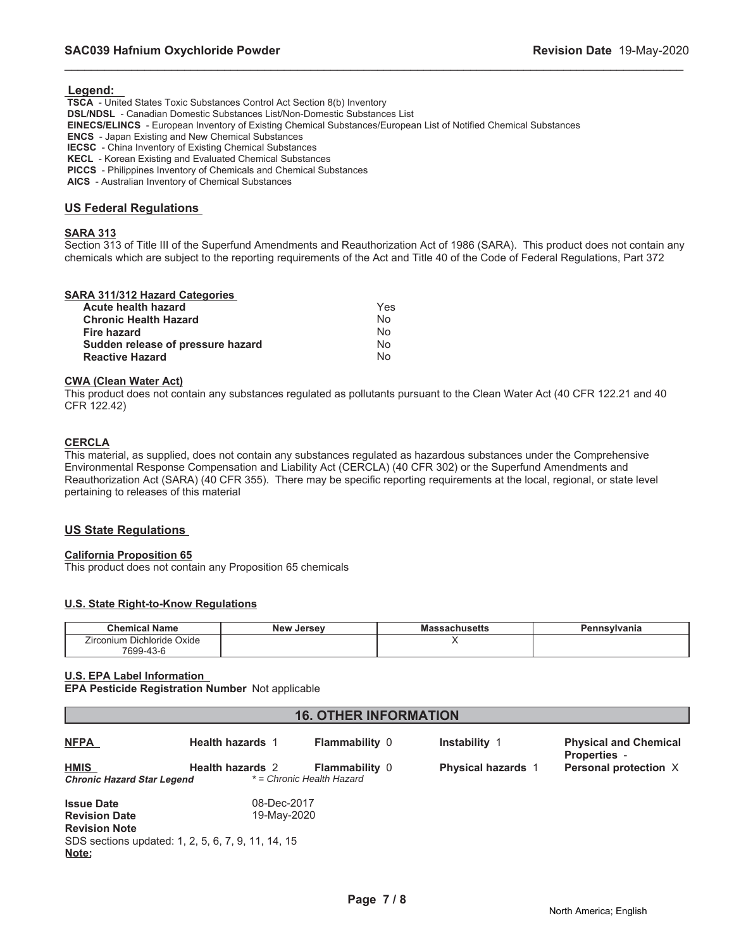#### **Legend:**

 **TSCA** - United States Toxic Substances Control Act Section 8(b) Inventory  **DSL/NDSL** - Canadian Domestic Substances List/Non-Domestic Substances List  **EINECS/ELINCS** - European Inventory of Existing Chemical Substances/European List of Notified Chemical Substances  **ENCS** - Japan Existing and New Chemical Substances  **IECSC** - China Inventory of Existing Chemical Substances  **KECL** - Korean Existing and Evaluated Chemical Substances

 **PICCS** - Philippines Inventory of Chemicals and Chemical Substances

 **AICS** - Australian Inventory of Chemical Substances

#### **US Federal Regulations**

#### **SARA 313**

Section 313 of Title III of the Superfund Amendments and Reauthorization Act of 1986 (SARA). This product does not contain any chemicals which are subject to the reporting requirements of the Act and Title 40 of the Code of Federal Regulations, Part 372

\_\_\_\_\_\_\_\_\_\_\_\_\_\_\_\_\_\_\_\_\_\_\_\_\_\_\_\_\_\_\_\_\_\_\_\_\_\_\_\_\_\_\_\_\_\_\_\_\_\_\_\_\_\_\_\_\_\_\_\_\_\_\_\_\_\_\_\_\_\_\_\_\_\_\_\_\_\_\_\_\_\_\_\_\_\_\_\_\_\_\_\_\_

#### **SARA 311/312 Hazard Categories**

| Acute health hazard               | Yes            |
|-----------------------------------|----------------|
| <b>Chronic Health Hazard</b>      | N <sub>0</sub> |
| <b>Fire hazard</b>                | Nο             |
| Sudden release of pressure hazard | N∩             |
| <b>Reactive Hazard</b>            | Nο             |

#### **CWA (Clean Water Act)**

This product does not contain any substances regulated as pollutants pursuant to the Clean Water Act (40 CFR 122.21 and 40 CFR 122.42)

#### **CERCLA**

This material, as supplied, does not contain any substances regulated as hazardous substances under the Comprehensive Environmental Response Compensation and Liability Act (CERCLA) (40 CFR 302) or the Superfund Amendments and Reauthorization Act (SARA) (40 CFR 355). There may be specific reporting requirements at the local, regional, or state level pertaining to releases of this material

#### **US State Regulations**

#### **California Proposition 65**

This product does not contain any Proposition 65 chemicals

#### **U.S. State Right-to-Know Regulations**

| . .<br>Chemical Name              | <b>New</b><br>Jersev | របាប១៩แธ  | Pennsvlvania |
|-----------------------------------|----------------------|-----------|--------------|
| j<br>Dichloride Oxide<br>Irconium |                      | $\cdot$ . |              |
| 7699-43-<br>43-6                  |                      |           |              |

#### **U.S. EPA Label Information**

**EPA Pesticide Registration Number** Not applicable

# **16. OTHER INFORMATION**

| <b>NFPA</b>                                                                                                                      | <b>Health hazards 1</b>    | <b>Flammability 0</b>                              | Instability 1             | <b>Physical and Chemical</b><br><b>Properties -</b> |
|----------------------------------------------------------------------------------------------------------------------------------|----------------------------|----------------------------------------------------|---------------------------|-----------------------------------------------------|
| <b>HMIS</b><br><b>Chronic Hazard Star Legend</b>                                                                                 | <b>Health hazards 2</b>    | <b>Flammability 0</b><br>* = Chronic Health Hazard | <b>Physical hazards 1</b> | Personal protection X                               |
| <b>Issue Date</b><br><b>Revision Date</b><br><b>Revision Note</b><br>SDS sections updated: 1, 2, 5, 6, 7, 9, 11, 14, 15<br>Note: | 08-Dec-2017<br>19-May-2020 |                                                    |                           |                                                     |